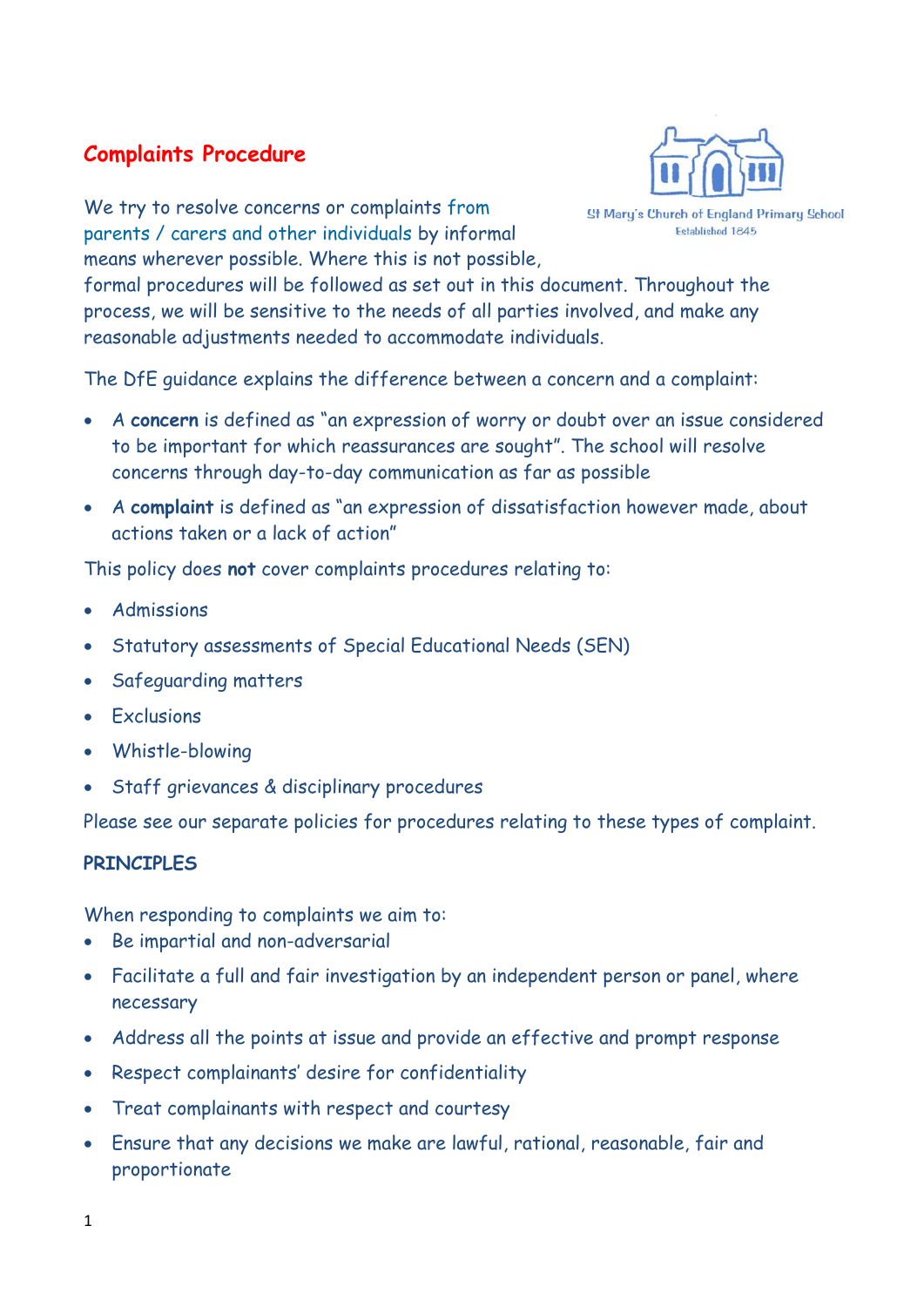# **Complaints Procedure**

**St Mary's Church of England Primary School** 

Established 1845

We try to resolve concerns or complaints from parents / carers and other individuals by informal means wherever possible. Where this is not possible,

formal procedures will be followed as set out in this document. Throughout the process, we will be sensitive to the needs of all parties involved, and make any reasonable adjustments needed to accommodate individuals.

The DfE guidance explains the difference between a concern and a complaint:

- A **concern** is defined as "an expression of worry or doubt over an issue considered to be important for which reassurances are sought". The school will resolve concerns through day-to-day communication as far as possible
- A **complaint** is defined as "an expression of dissatisfaction however made, about actions taken or a lack of action"

This policy does **not** cover complaints procedures relating to:

- **Admissions**
- Statutory assessments of Special Educational Needs (SEN)
- Safeguarding matters
- Exclusions
- Whistle-blowing
- Staff grievances & disciplinary procedures

Please see our separate policies for procedures relating to these types of complaint.

## **PRINCIPLES**

When responding to complaints we aim to:

- Be impartial and non-adversarial
- Facilitate a full and fair investigation by an independent person or panel, where necessary
- Address all the points at issue and provide an effective and prompt response
- Respect complainants' desire for confidentiality
- Treat complainants with respect and courtesy
- Ensure that any decisions we make are lawful, rational, reasonable, fair and proportionate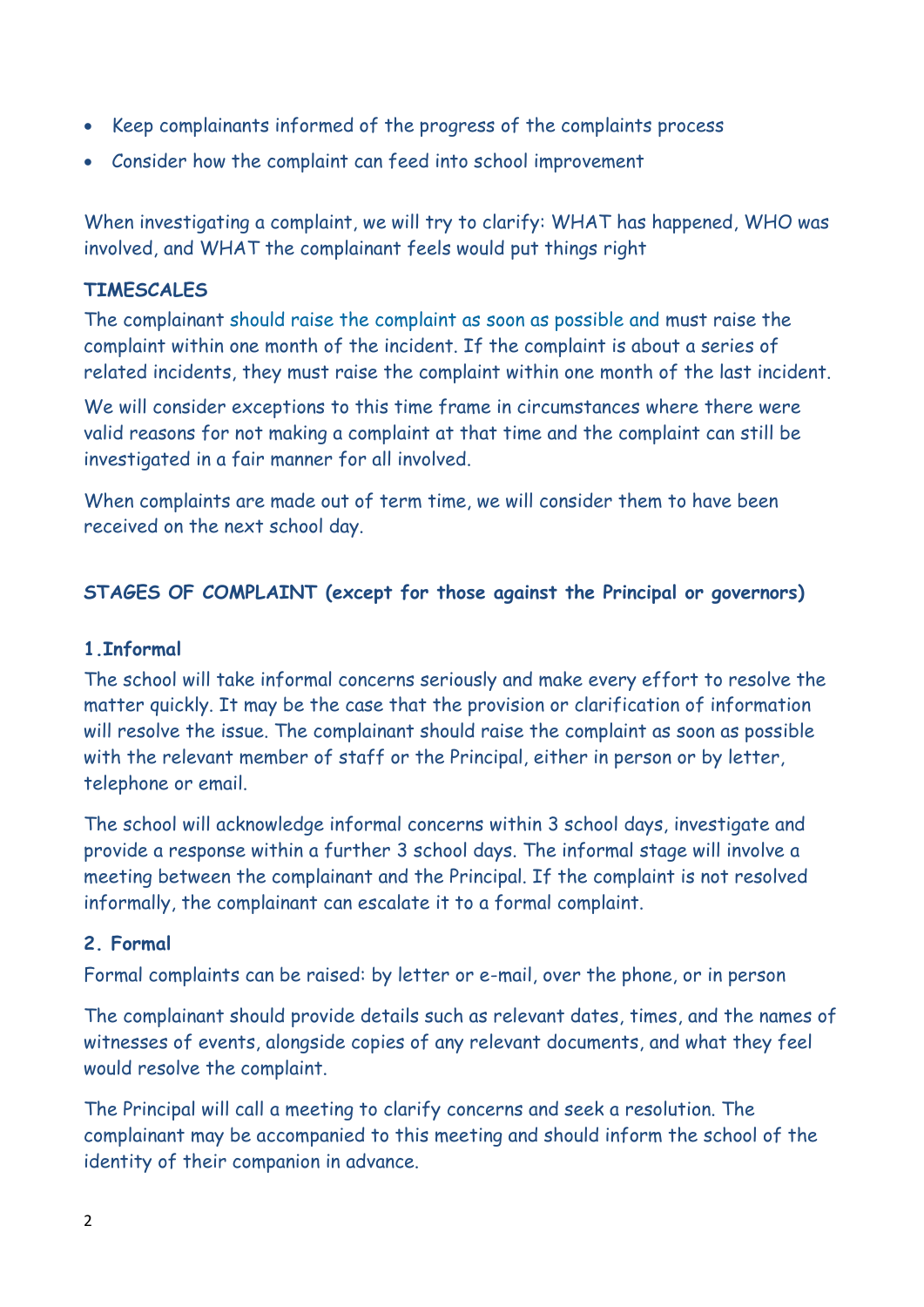- Keep complainants informed of the progress of the complaints process
- Consider how the complaint can feed into school improvement

When investigating a complaint, we will try to clarify: WHAT has happened, WHO was involved, and WHAT the complainant feels would put things right

## **TIMESCALES**

The complainant should raise the complaint as soon as possible and must raise the complaint within one month of the incident. If the complaint is about a series of related incidents, they must raise the complaint within one month of the last incident.

We will consider exceptions to this time frame in circumstances where there were valid reasons for not making a complaint at that time and the complaint can still be investigated in a fair manner for all involved.

When complaints are made out of term time, we will consider them to have been received on the next school day.

## **STAGES OF COMPLAINT (except for those against the Principal or governors)**

#### **1.Informal**

The school will take informal concerns seriously and make every effort to resolve the matter quickly. It may be the case that the provision or clarification of information will resolve the issue. The complainant should raise the complaint as soon as possible with the relevant member of staff or the Principal, either in person or by letter, telephone or email.

The school will acknowledge informal concerns within 3 school days, investigate and provide a response within a further 3 school days. The informal stage will involve a meeting between the complainant and the Principal. If the complaint is not resolved informally, the complainant can escalate it to a formal complaint.

#### **2. Formal**

Formal complaints can be raised: by letter or e-mail, over the phone, or in person

The complainant should provide details such as relevant dates, times, and the names of witnesses of events, alongside copies of any relevant documents, and what they feel would resolve the complaint.

The Principal will call a meeting to clarify concerns and seek a resolution. The complainant may be accompanied to this meeting and should inform the school of the identity of their companion in advance.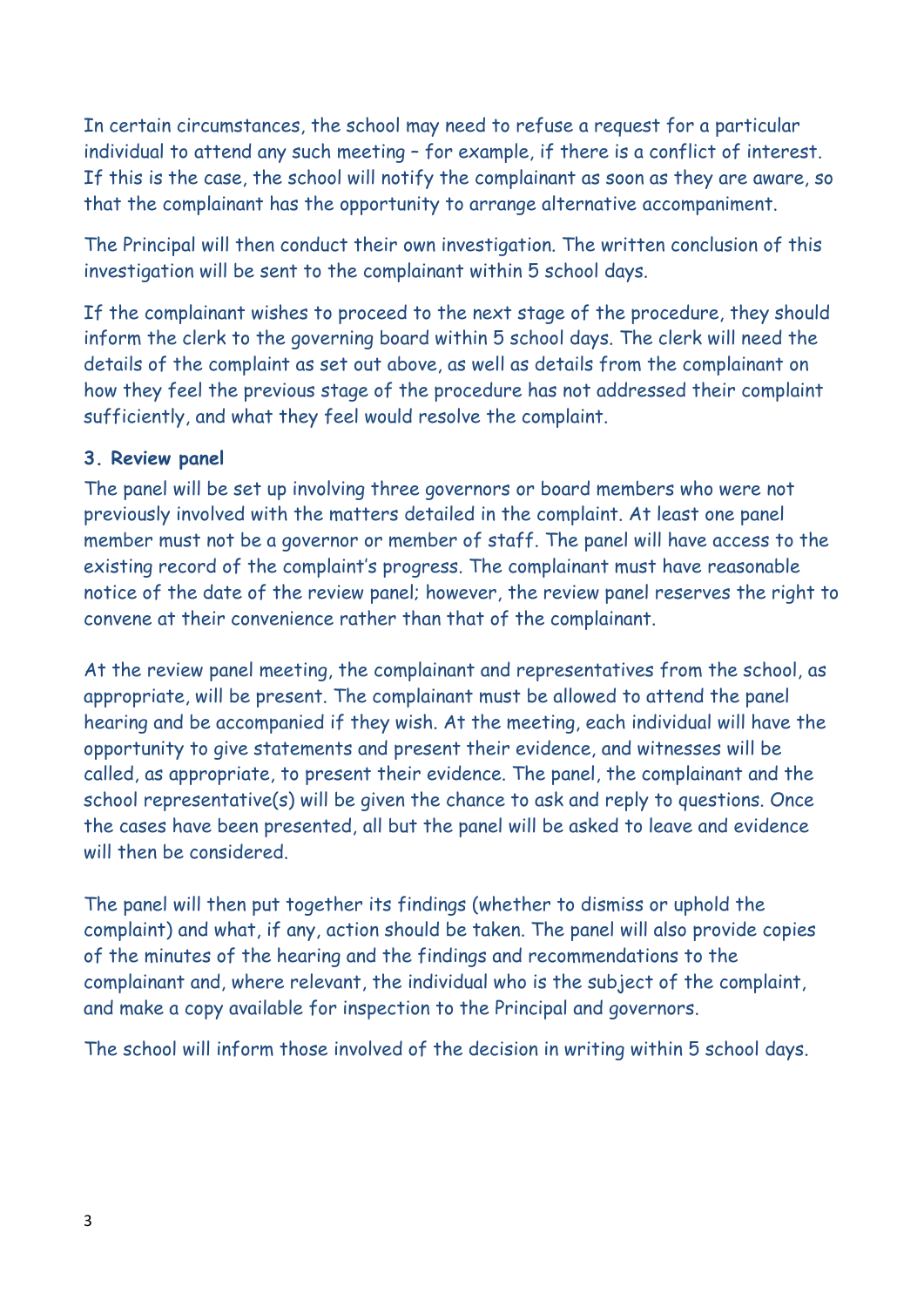In certain circumstances, the school may need to refuse a request for a particular individual to attend any such meeting – for example, if there is a conflict of interest. If this is the case, the school will notify the complainant as soon as they are aware, so that the complainant has the opportunity to arrange alternative accompaniment.

The Principal will then conduct their own investigation. The written conclusion of this investigation will be sent to the complainant within 5 school days.

If the complainant wishes to proceed to the next stage of the procedure, they should inform the clerk to the governing board within 5 school days. The clerk will need the details of the complaint as set out above, as well as details from the complainant on how they feel the previous stage of the procedure has not addressed their complaint sufficiently, and what they feel would resolve the complaint.

# **3. Review panel**

The panel will be set up involving three governors or board members who were not previously involved with the matters detailed in the complaint. At least one panel member must not be a governor or member of staff. The panel will have access to the existing record of the complaint's progress. The complainant must have reasonable notice of the date of the review panel; however, the review panel reserves the right to convene at their convenience rather than that of the complainant.

At the review panel meeting, the complainant and representatives from the school, as appropriate, will be present. The complainant must be allowed to attend the panel hearing and be accompanied if they wish. At the meeting, each individual will have the opportunity to give statements and present their evidence, and witnesses will be called, as appropriate, to present their evidence. The panel, the complainant and the school representative(s) will be given the chance to ask and reply to questions. Once the cases have been presented, all but the panel will be asked to leave and evidence will then be considered.

The panel will then put together its findings (whether to dismiss or uphold the complaint) and what, if any, action should be taken. The panel will also provide copies of the minutes of the hearing and the findings and recommendations to the complainant and, where relevant, the individual who is the subject of the complaint, and make a copy available for inspection to the Principal and governors.

The school will inform those involved of the decision in writing within 5 school days.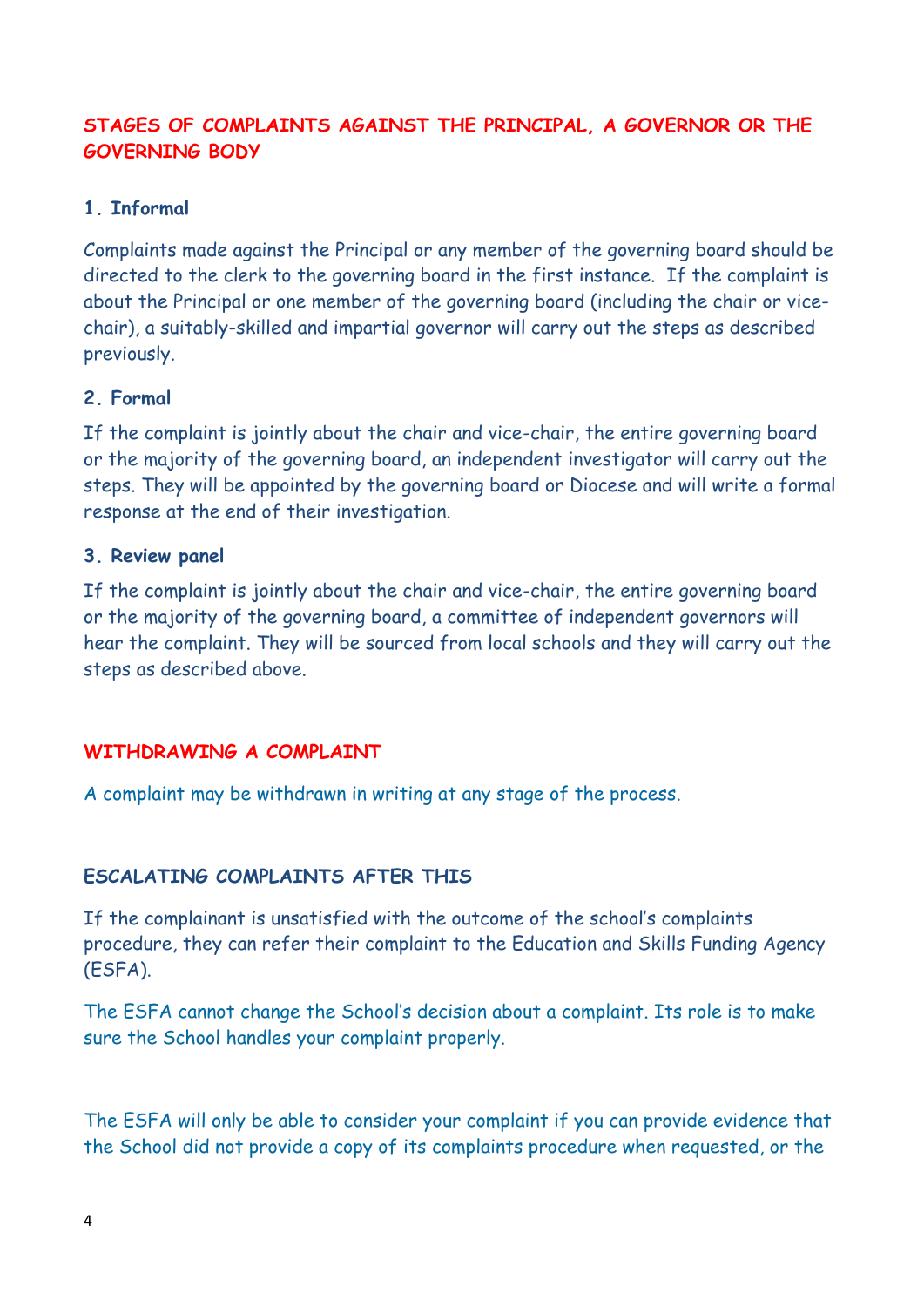# **STAGES OF COMPLAINTS AGAINST THE PRINCIPAL, A GOVERNOR OR THE GOVERNING BODY**

# **1. Informal**

Complaints made against the Principal or any member of the governing board should be directed to the clerk to the governing board in the first instance. If the complaint is about the Principal or one member of the governing board (including the chair or vicechair), a suitably-skilled and impartial governor will carry out the steps as described previously.

# **2. Formal**

If the complaint is jointly about the chair and vice-chair, the entire governing board or the majority of the governing board, an independent investigator will carry out the steps. They will be appointed by the governing board or Diocese and will write a formal response at the end of their investigation.

## **3. Review panel**

If the complaint is jointly about the chair and vice-chair, the entire governing board or the majority of the governing board, a committee of independent governors will hear the complaint. They will be sourced from local schools and they will carry out the steps as described above.

## **WITHDRAWING A COMPLAINT**

A complaint may be withdrawn in writing at any stage of the process.

## **ESCALATING COMPLAINTS AFTER THIS**

If the complainant is unsatisfied with the outcome of the school's complaints procedure, they can refer their complaint to the Education and Skills Funding Agency (ESFA).

The ESFA cannot change the School's decision about a complaint. Its role is to make sure the School handles your complaint properly.

The ESFA will only be able to consider your complaint if you can provide evidence that the School did not provide a copy of its complaints procedure when requested, or the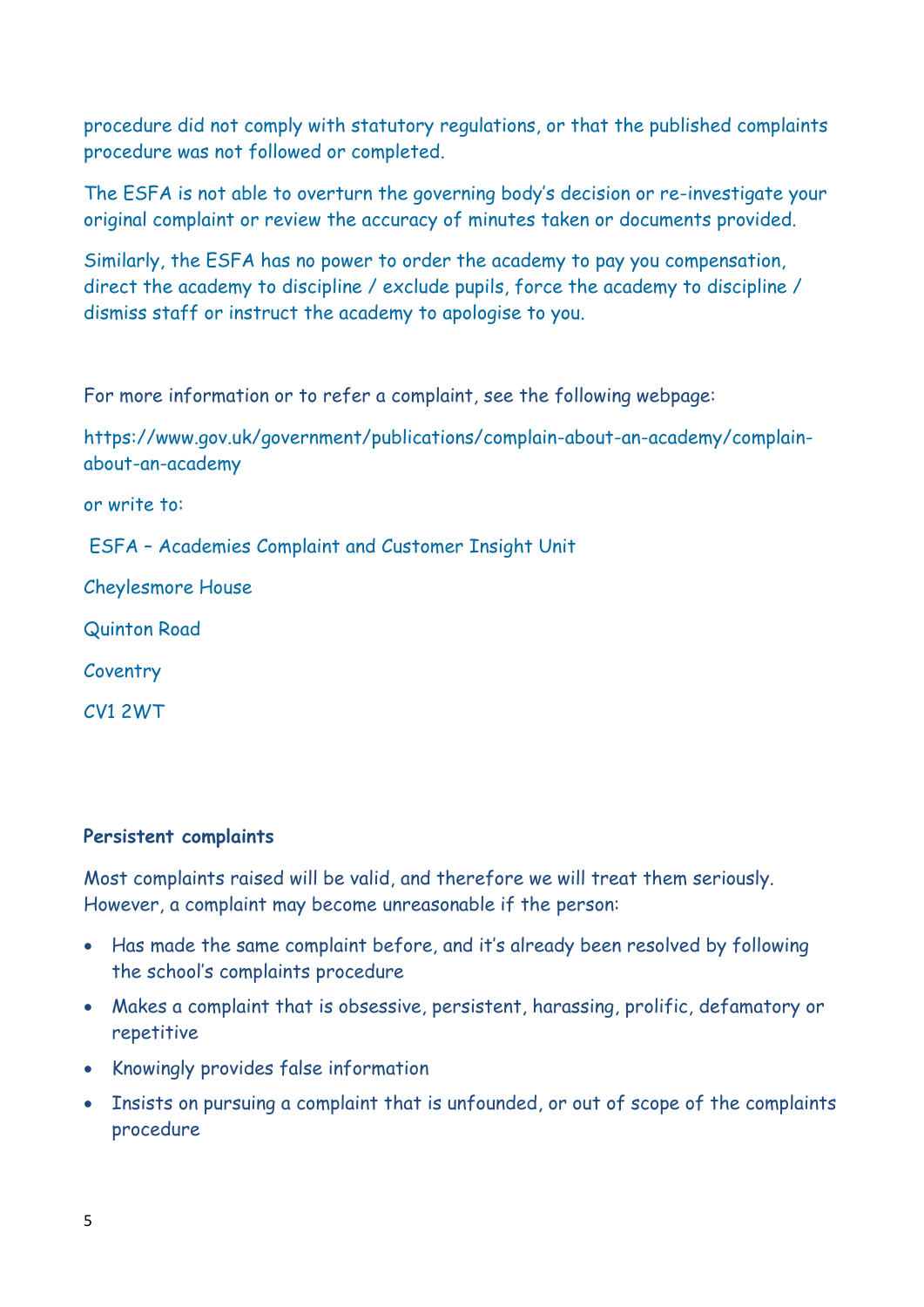procedure did not comply with statutory regulations, or that the published complaints procedure was not followed or completed.

The ESFA is not able to overturn the governing body's decision or re-investigate your original complaint or review the accuracy of minutes taken or documents provided.

Similarly, the ESFA has no power to order the academy to pay you compensation, direct the academy to discipline / exclude pupils, force the academy to discipline / dismiss staff or instruct the academy to apologise to you.

For more information or to refer a complaint, see the following webpage:

https://www.gov.uk/government/publications/complain-about-an-academy/complainabout-an-academy

or write to:

ESFA – Academies Complaint and Customer Insight Unit

Cheylesmore House

Quinton Road

Coventry

CV1 2WT

# **Persistent complaints**

Most complaints raised will be valid, and therefore we will treat them seriously. However, a complaint may become unreasonable if the person:

- Has made the same complaint before, and it's already been resolved by following the school's complaints procedure
- Makes a complaint that is obsessive, persistent, harassing, prolific, defamatory or repetitive
- Knowingly provides false information
- Insists on pursuing a complaint that is unfounded, or out of scope of the complaints procedure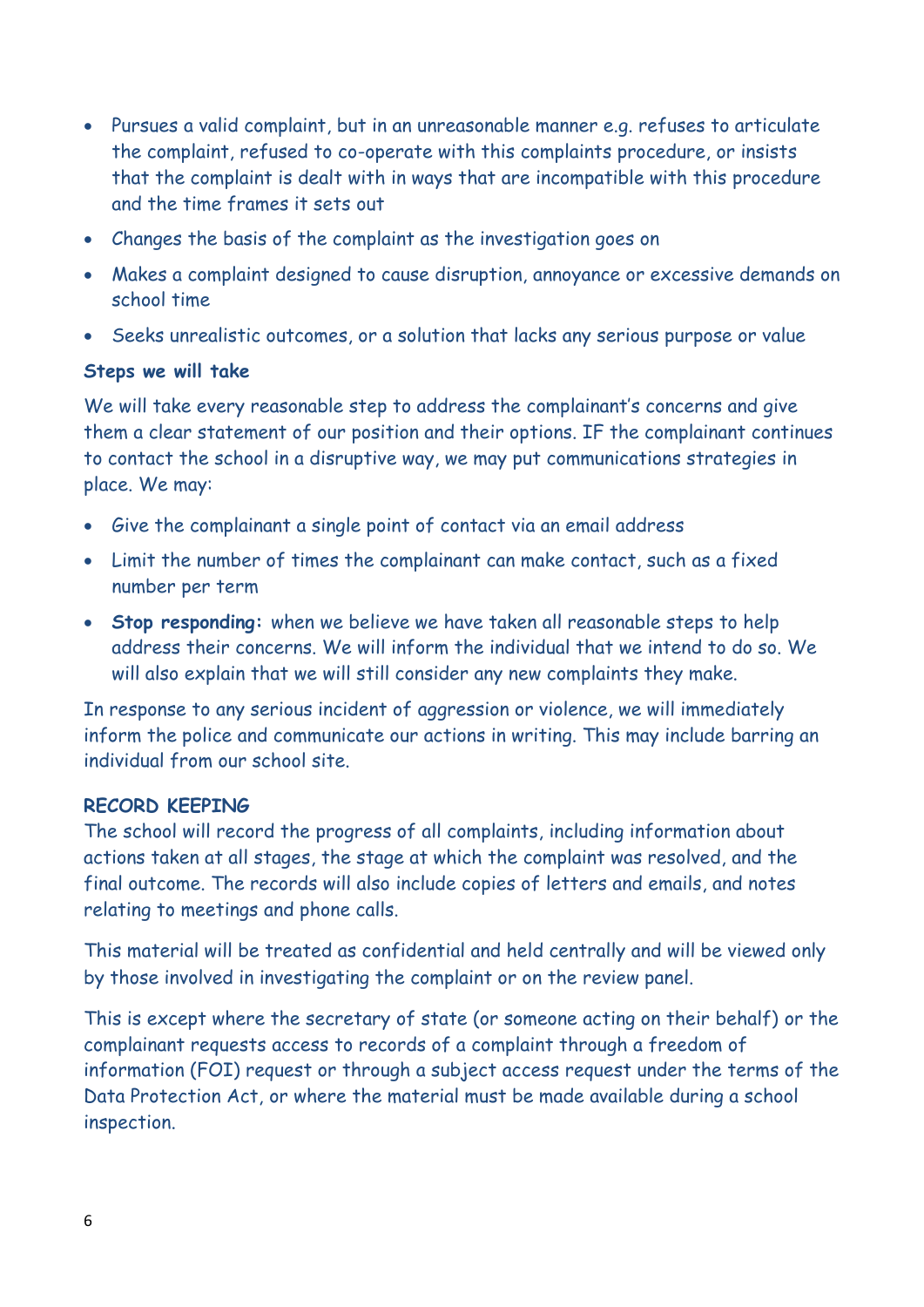- Pursues a valid complaint, but in an unreasonable manner e.g. refuses to articulate the complaint, refused to co-operate with this complaints procedure, or insists that the complaint is dealt with in ways that are incompatible with this procedure and the time frames it sets out
- Changes the basis of the complaint as the investigation goes on
- Makes a complaint designed to cause disruption, annoyance or excessive demands on school time
- Seeks unrealistic outcomes, or a solution that lacks any serious purpose or value

#### **Steps we will take**

We will take every reasonable step to address the complainant's concerns and give them a clear statement of our position and their options. IF the complainant continues to contact the school in a disruptive way, we may put communications strategies in place. We may:

- Give the complainant a single point of contact via an email address
- Limit the number of times the complainant can make contact, such as a fixed number per term
- **Stop responding:** when we believe we have taken all reasonable steps to help address their concerns. We will inform the individual that we intend to do so. We will also explain that we will still consider any new complaints they make.

In response to any serious incident of aggression or violence, we will immediately inform the police and communicate our actions in writing. This may include barring an individual from our school site.

#### **RECORD KEEPING**

The school will record the progress of all complaints, including information about actions taken at all stages, the stage at which the complaint was resolved, and the final outcome. The records will also include copies of letters and emails, and notes relating to meetings and phone calls.

This material will be treated as confidential and held centrally and will be viewed only by those involved in investigating the complaint or on the review panel.

This is except where the secretary of state (or someone acting on their behalf) or the complainant requests access to records of a complaint through a freedom of information (FOI) request or through a subject access request under the terms of the Data Protection Act, or where the material must be made available during a school inspection.